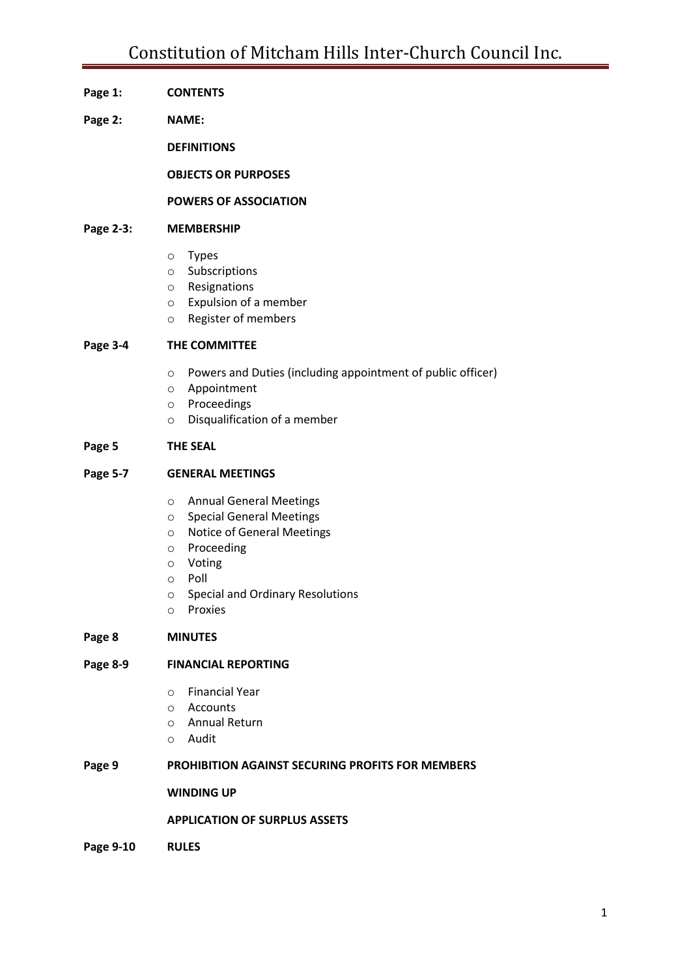### **Page 1: CONTENTS**

**Page 2: NAME:**

**DEFINITIONS**

**OBJECTS OR PURPOSES**

#### **POWERS OF ASSOCIATION**

#### **Page 2-3: MEMBERSHIP**

- o Types
- o Subscriptions
- o Resignations
- o Expulsion of a member
- o Register of members

#### **Page 3-4 THE COMMITTEE**

- o Powers and Duties (including appointment of public officer)
- o Appointment
- o Proceedings
- o Disqualification of a member

#### **Page 5 THE SEAL**

#### **Page 5-7 GENERAL MEETINGS**

- o Annual General Meetings
- o Special General Meetings
- o Notice of General Meetings
- o Proceeding
- o Voting
- o Poll
- o Special and Ordinary Resolutions
- o Proxies

#### **Page 8 MINUTES**

#### **Page 8-9 FINANCIAL REPORTING**

- o Financial Year
- o Accounts
- o Annual Return
- o Audit

#### **Page 9 PROHIBITION AGAINST SECURING PROFITS FOR MEMBERS**

#### **WINDING UP**

#### **APPLICATION OF SURPLUS ASSETS**

**Page 9-10 RULES**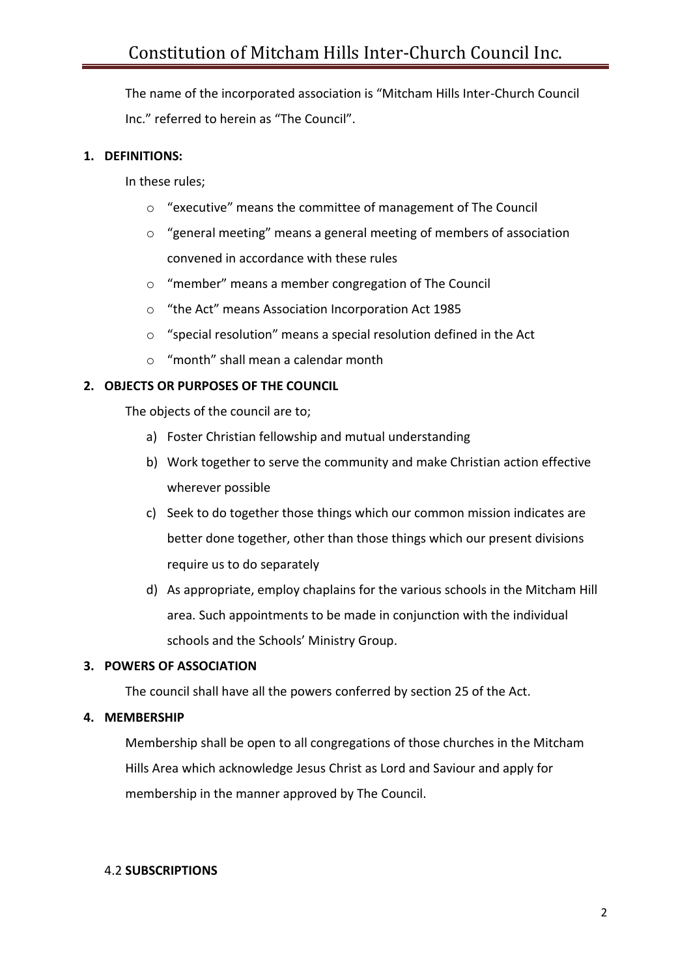The name of the incorporated association is "Mitcham Hills Inter-Church Council Inc." referred to herein as "The Council".

# **1. DEFINITIONS:**

In these rules;

- o "executive" means the committee of management of The Council
- o "general meeting" means a general meeting of members of association convened in accordance with these rules
- o "member" means a member congregation of The Council
- o "the Act" means Association Incorporation Act 1985
- o "special resolution" means a special resolution defined in the Act
- o "month" shall mean a calendar month

# **2. OBJECTS OR PURPOSES OF THE COUNCIL**

The objects of the council are to;

- a) Foster Christian fellowship and mutual understanding
- b) Work together to serve the community and make Christian action effective wherever possible
- c) Seek to do together those things which our common mission indicates are better done together, other than those things which our present divisions require us to do separately
- d) As appropriate, employ chaplains for the various schools in the Mitcham Hill area. Such appointments to be made in conjunction with the individual schools and the Schools' Ministry Group.

## **3. POWERS OF ASSOCIATION**

The council shall have all the powers conferred by section 25 of the Act.

## **4. MEMBERSHIP**

Membership shall be open to all congregations of those churches in the Mitcham Hills Area which acknowledge Jesus Christ as Lord and Saviour and apply for membership in the manner approved by The Council.

## 4.2 **SUBSCRIPTIONS**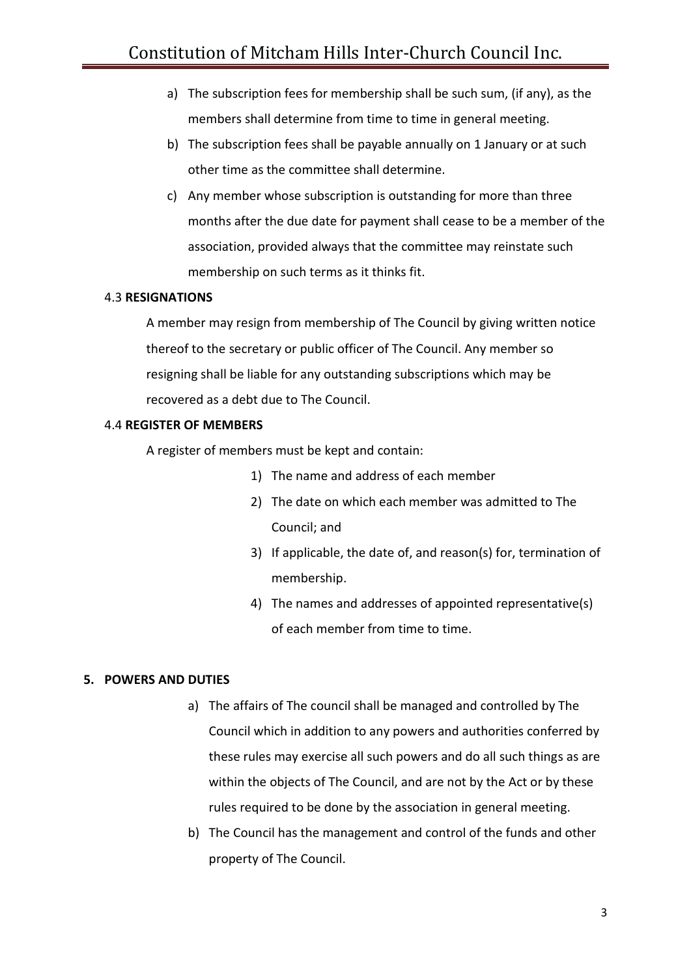- a) The subscription fees for membership shall be such sum, (if any), as the members shall determine from time to time in general meeting.
- b) The subscription fees shall be payable annually on 1 January or at such other time as the committee shall determine.
- c) Any member whose subscription is outstanding for more than three months after the due date for payment shall cease to be a member of the association, provided always that the committee may reinstate such membership on such terms as it thinks fit.

## 4.3 **RESIGNATIONS**

A member may resign from membership of The Council by giving written notice thereof to the secretary or public officer of The Council. Any member so resigning shall be liable for any outstanding subscriptions which may be recovered as a debt due to The Council.

### 4.4 **REGISTER OF MEMBERS**

A register of members must be kept and contain:

- 1) The name and address of each member
- 2) The date on which each member was admitted to The Council; and
- 3) If applicable, the date of, and reason(s) for, termination of membership.
- 4) The names and addresses of appointed representative(s) of each member from time to time.

## **5. POWERS AND DUTIES**

- a) The affairs of The council shall be managed and controlled by The Council which in addition to any powers and authorities conferred by these rules may exercise all such powers and do all such things as are within the objects of The Council, and are not by the Act or by these rules required to be done by the association in general meeting.
- b) The Council has the management and control of the funds and other property of The Council.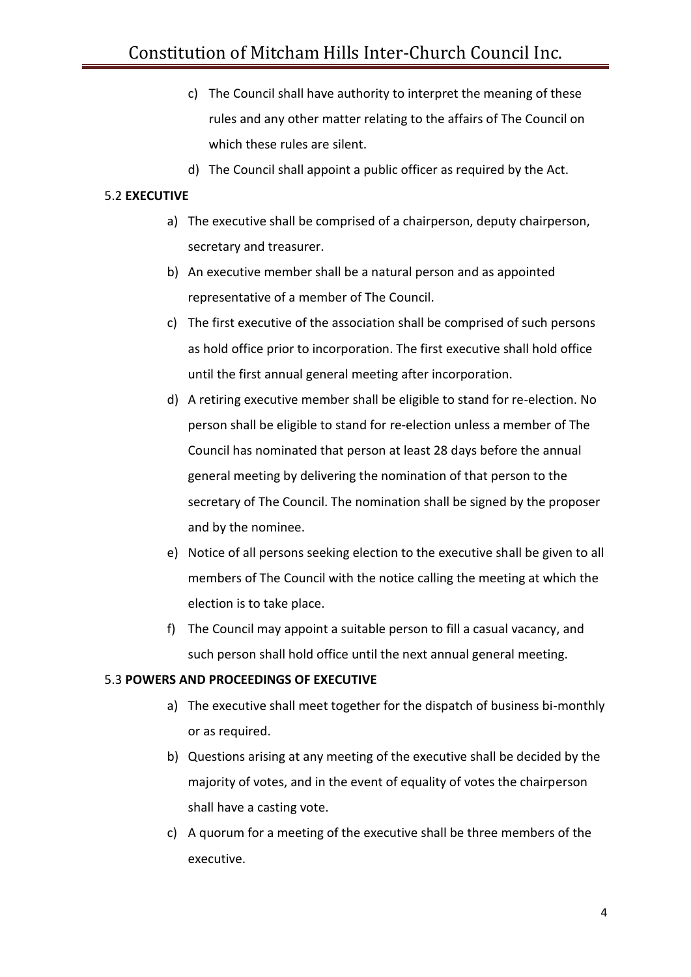- c) The Council shall have authority to interpret the meaning of these rules and any other matter relating to the affairs of The Council on which these rules are silent.
- d) The Council shall appoint a public officer as required by the Act.

# 5.2 **EXECUTIVE**

- a) The executive shall be comprised of a chairperson, deputy chairperson, secretary and treasurer.
- b) An executive member shall be a natural person and as appointed representative of a member of The Council.
- c) The first executive of the association shall be comprised of such persons as hold office prior to incorporation. The first executive shall hold office until the first annual general meeting after incorporation.
- d) A retiring executive member shall be eligible to stand for re-election. No person shall be eligible to stand for re-election unless a member of The Council has nominated that person at least 28 days before the annual general meeting by delivering the nomination of that person to the secretary of The Council. The nomination shall be signed by the proposer and by the nominee.
- e) Notice of all persons seeking election to the executive shall be given to all members of The Council with the notice calling the meeting at which the election is to take place.
- f) The Council may appoint a suitable person to fill a casual vacancy, and such person shall hold office until the next annual general meeting.

## 5.3 **POWERS AND PROCEEDINGS OF EXECUTIVE**

- a) The executive shall meet together for the dispatch of business bi-monthly or as required.
- b) Questions arising at any meeting of the executive shall be decided by the majority of votes, and in the event of equality of votes the chairperson shall have a casting vote.
- c) A quorum for a meeting of the executive shall be three members of the executive.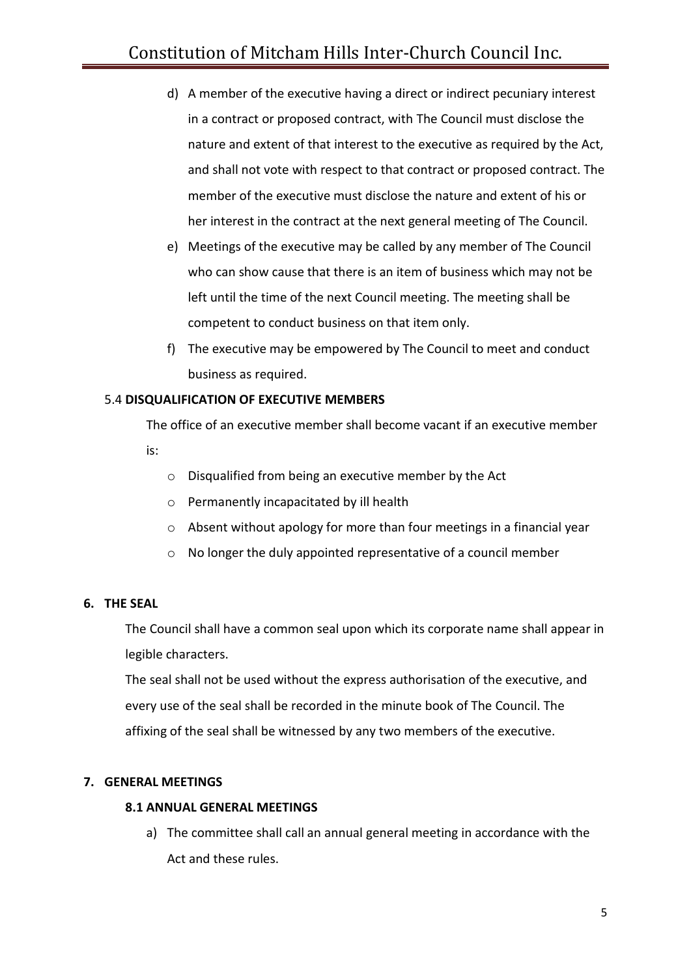- d) A member of the executive having a direct or indirect pecuniary interest in a contract or proposed contract, with The Council must disclose the nature and extent of that interest to the executive as required by the Act, and shall not vote with respect to that contract or proposed contract. The member of the executive must disclose the nature and extent of his or her interest in the contract at the next general meeting of The Council.
- e) Meetings of the executive may be called by any member of The Council who can show cause that there is an item of business which may not be left until the time of the next Council meeting. The meeting shall be competent to conduct business on that item only.
- f) The executive may be empowered by The Council to meet and conduct business as required.

# 5.4 **DISQUALIFICATION OF EXECUTIVE MEMBERS**

The office of an executive member shall become vacant if an executive member is:

- o Disqualified from being an executive member by the Act
- o Permanently incapacitated by ill health
- o Absent without apology for more than four meetings in a financial year
- o No longer the duly appointed representative of a council member

## **6. THE SEAL**

The Council shall have a common seal upon which its corporate name shall appear in legible characters.

The seal shall not be used without the express authorisation of the executive, and every use of the seal shall be recorded in the minute book of The Council. The affixing of the seal shall be witnessed by any two members of the executive.

## **7. GENERAL MEETINGS**

## **8.1 ANNUAL GENERAL MEETINGS**

a) The committee shall call an annual general meeting in accordance with the Act and these rules.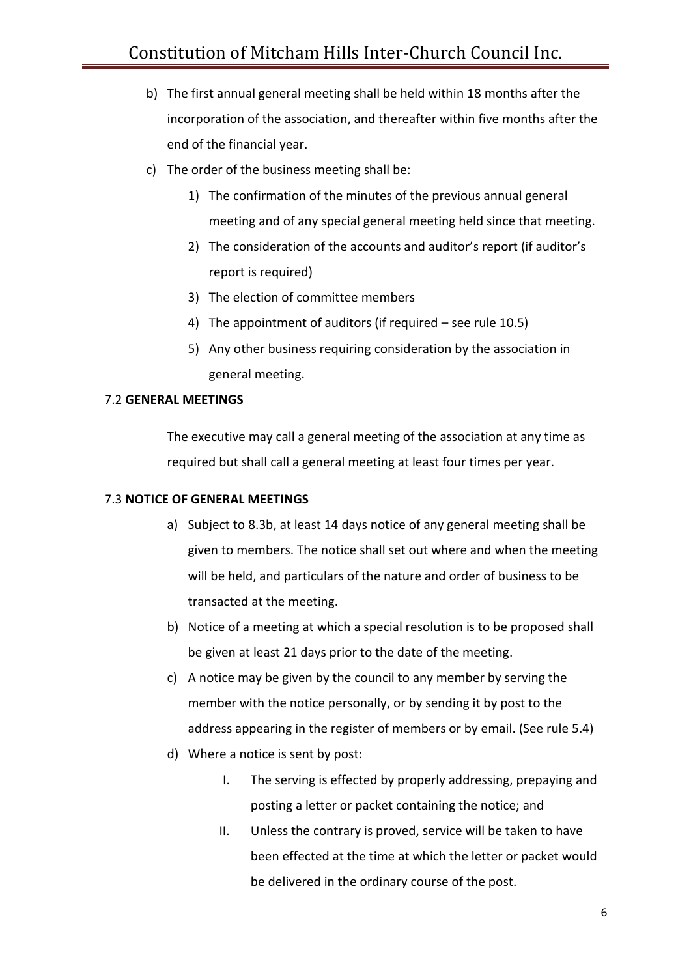- b) The first annual general meeting shall be held within 18 months after the incorporation of the association, and thereafter within five months after the end of the financial year.
- c) The order of the business meeting shall be:
	- 1) The confirmation of the minutes of the previous annual general meeting and of any special general meeting held since that meeting.
	- 2) The consideration of the accounts and auditor's report (if auditor's report is required)
	- 3) The election of committee members
	- 4) The appointment of auditors (if required see rule 10.5)
	- 5) Any other business requiring consideration by the association in general meeting.

## 7.2 **GENERAL MEETINGS**

The executive may call a general meeting of the association at any time as required but shall call a general meeting at least four times per year.

## 7.3 **NOTICE OF GENERAL MEETINGS**

- a) Subject to 8.3b, at least 14 days notice of any general meeting shall be given to members. The notice shall set out where and when the meeting will be held, and particulars of the nature and order of business to be transacted at the meeting.
- b) Notice of a meeting at which a special resolution is to be proposed shall be given at least 21 days prior to the date of the meeting.
- c) A notice may be given by the council to any member by serving the member with the notice personally, or by sending it by post to the address appearing in the register of members or by email. (See rule 5.4)
- d) Where a notice is sent by post:
	- I. The serving is effected by properly addressing, prepaying and posting a letter or packet containing the notice; and
	- II. Unless the contrary is proved, service will be taken to have been effected at the time at which the letter or packet would be delivered in the ordinary course of the post.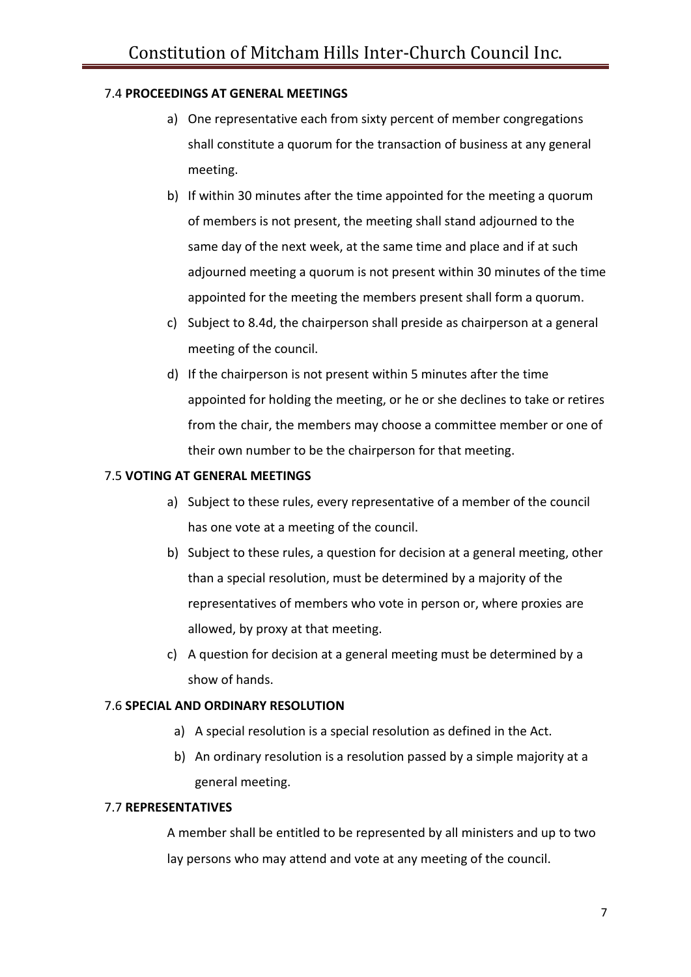# 7.4 **PROCEEDINGS AT GENERAL MEETINGS**

- a) One representative each from sixty percent of member congregations shall constitute a quorum for the transaction of business at any general meeting.
- b) If within 30 minutes after the time appointed for the meeting a quorum of members is not present, the meeting shall stand adjourned to the same day of the next week, at the same time and place and if at such adjourned meeting a quorum is not present within 30 minutes of the time appointed for the meeting the members present shall form a quorum.
- c) Subject to 8.4d, the chairperson shall preside as chairperson at a general meeting of the council.
- d) If the chairperson is not present within 5 minutes after the time appointed for holding the meeting, or he or she declines to take or retires from the chair, the members may choose a committee member or one of their own number to be the chairperson for that meeting.

## 7.5 **VOTING AT GENERAL MEETINGS**

- a) Subject to these rules, every representative of a member of the council has one vote at a meeting of the council.
- b) Subject to these rules, a question for decision at a general meeting, other than a special resolution, must be determined by a majority of the representatives of members who vote in person or, where proxies are allowed, by proxy at that meeting.
- c) A question for decision at a general meeting must be determined by a show of hands.

## 7.6 **SPECIAL AND ORDINARY RESOLUTION**

- a) A special resolution is a special resolution as defined in the Act.
- b) An ordinary resolution is a resolution passed by a simple majority at a general meeting.

## 7.7 **REPRESENTATIVES**

A member shall be entitled to be represented by all ministers and up to two lay persons who may attend and vote at any meeting of the council.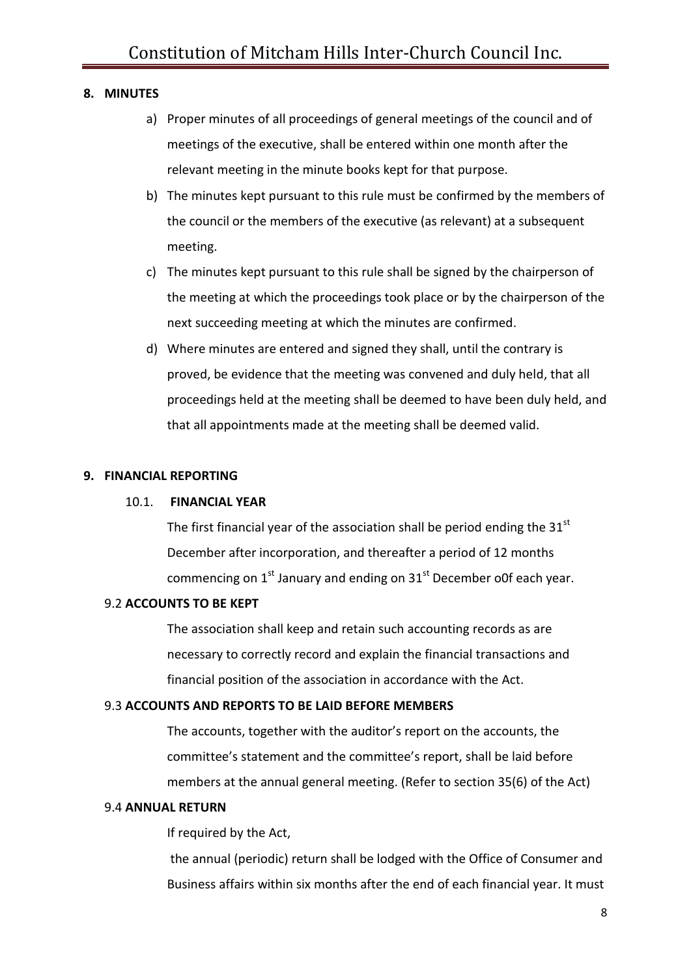### **8. MINUTES**

- a) Proper minutes of all proceedings of general meetings of the council and of meetings of the executive, shall be entered within one month after the relevant meeting in the minute books kept for that purpose.
- b) The minutes kept pursuant to this rule must be confirmed by the members of the council or the members of the executive (as relevant) at a subsequent meeting.
- c) The minutes kept pursuant to this rule shall be signed by the chairperson of the meeting at which the proceedings took place or by the chairperson of the next succeeding meeting at which the minutes are confirmed.
- d) Where minutes are entered and signed they shall, until the contrary is proved, be evidence that the meeting was convened and duly held, that all proceedings held at the meeting shall be deemed to have been duly held, and that all appointments made at the meeting shall be deemed valid.

#### **9. FINANCIAL REPORTING**

#### 10.1. **FINANCIAL YEAR**

The first financial year of the association shall be period ending the  $31<sup>st</sup>$ December after incorporation, and thereafter a period of 12 months commencing on  $1<sup>st</sup>$  January and ending on  $31<sup>st</sup>$  December o0f each year.

#### 9.2 **ACCOUNTS TO BE KEPT**

The association shall keep and retain such accounting records as are necessary to correctly record and explain the financial transactions and financial position of the association in accordance with the Act.

#### 9.3 **ACCOUNTS AND REPORTS TO BE LAID BEFORE MEMBERS**

The accounts, together with the auditor's report on the accounts, the committee's statement and the committee's report, shall be laid before members at the annual general meeting. (Refer to section 35(6) of the Act)

#### 9.4 **ANNUAL RETURN**

If required by the Act,

the annual (periodic) return shall be lodged with the Office of Consumer and Business affairs within six months after the end of each financial year. It must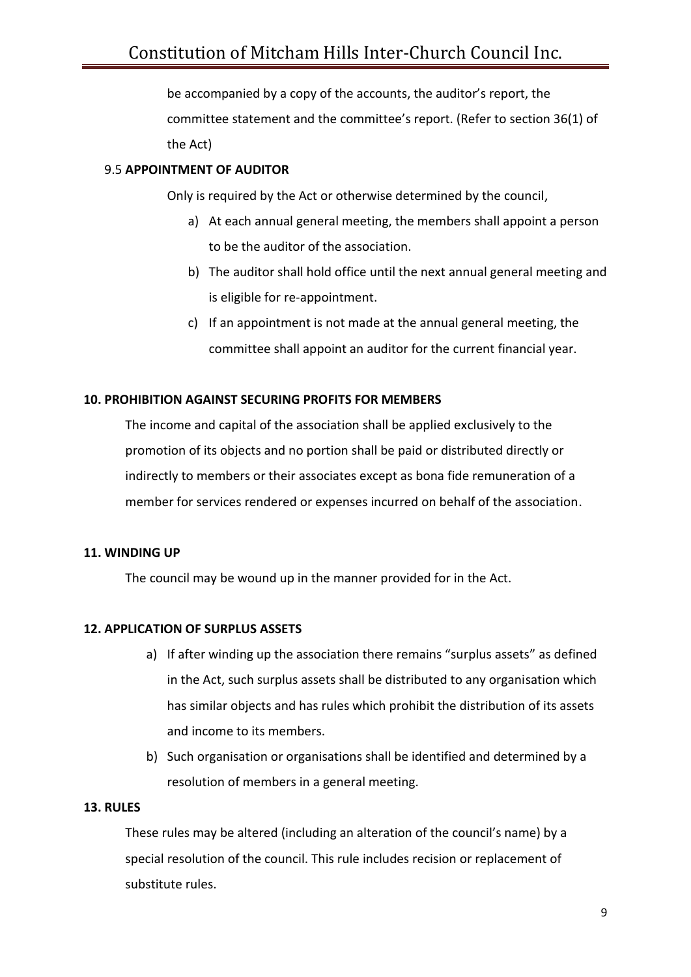be accompanied by a copy of the accounts, the auditor's report, the committee statement and the committee's report. (Refer to section 36(1) of the Act)

# 9.5 **APPOINTMENT OF AUDITOR**

Only is required by the Act or otherwise determined by the council,

- a) At each annual general meeting, the members shall appoint a person to be the auditor of the association.
- b) The auditor shall hold office until the next annual general meeting and is eligible for re-appointment.
- c) If an appointment is not made at the annual general meeting, the committee shall appoint an auditor for the current financial year.

# **10. PROHIBITION AGAINST SECURING PROFITS FOR MEMBERS**

The income and capital of the association shall be applied exclusively to the promotion of its objects and no portion shall be paid or distributed directly or indirectly to members or their associates except as bona fide remuneration of a member for services rendered or expenses incurred on behalf of the association.

## **11. WINDING UP**

The council may be wound up in the manner provided for in the Act.

## **12. APPLICATION OF SURPLUS ASSETS**

- a) If after winding up the association there remains "surplus assets" as defined in the Act, such surplus assets shall be distributed to any organisation which has similar objects and has rules which prohibit the distribution of its assets and income to its members.
- b) Such organisation or organisations shall be identified and determined by a resolution of members in a general meeting.

#### **13. RULES**

These rules may be altered (including an alteration of the council's name) by a special resolution of the council. This rule includes recision or replacement of substitute rules.